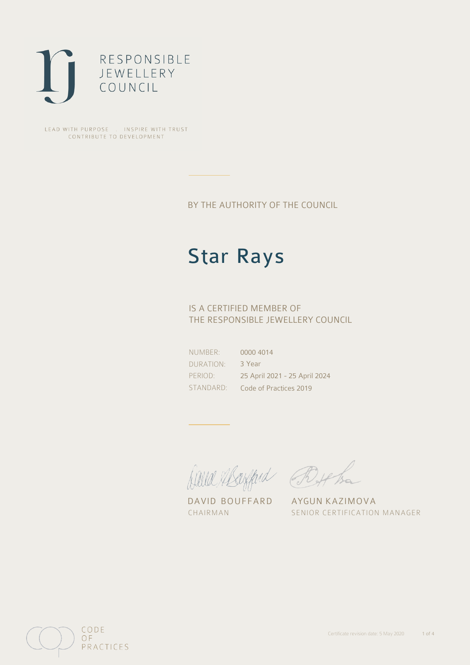

LEAD WITH PURPOSE . INSPIRE WITH TRUST CONTRIBUTE TO DEVELOPMENT

BY THE AUTHORITY OF THE COUNCIL

# Star Rays

## IS A CERTIFIED MEMBER OF THE RESPONSIBLE JEWELLERY COUNCIL

NUMBER: DURATION: PERIOD:

STANDARD: Code of Practices 2019 0000 4014 3 Year 25 April 2021 - 25 April 2024

Alle Abrigand Bythe

DAVID BOUFFARD AYGUN KAZIMOVA

CHAIRMAN SENIOR CERTIFICATION MANAGER

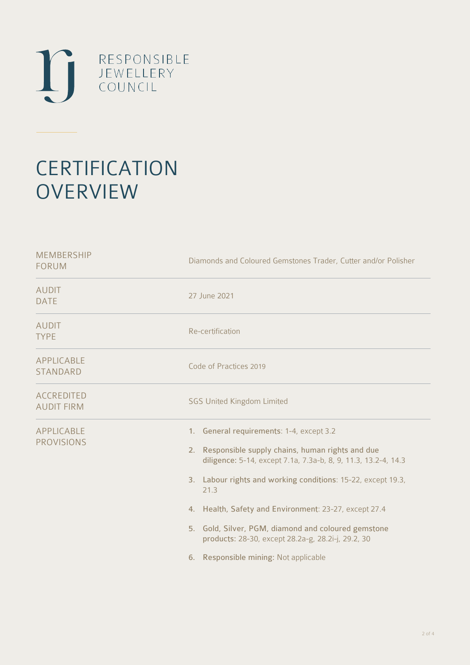

# **CERTIFICATION OVERVIEW**

| Diamonds and Coloured Gemstones Trader, Cutter and/or Polisher                                                                                                                                                                                                                                                                                                                                                                                             |
|------------------------------------------------------------------------------------------------------------------------------------------------------------------------------------------------------------------------------------------------------------------------------------------------------------------------------------------------------------------------------------------------------------------------------------------------------------|
| 27 June 2021                                                                                                                                                                                                                                                                                                                                                                                                                                               |
| Re-certification                                                                                                                                                                                                                                                                                                                                                                                                                                           |
| Code of Practices 2019                                                                                                                                                                                                                                                                                                                                                                                                                                     |
| <b>SGS United Kingdom Limited</b>                                                                                                                                                                                                                                                                                                                                                                                                                          |
| 1. General requirements: 1-4, except 3.2<br>2. Responsible supply chains, human rights and due<br>diligence: 5-14, except 7.1a, 7.3a-b, 8, 9, 11.3, 13.2-4, 14.3<br>3. Labour rights and working conditions: 15-22, except 19.3,<br>21.3<br>4. Health, Safety and Environment: 23-27, except 27.4<br>5. Gold, Silver, PGM, diamond and coloured gemstone<br>products: 28-30, except 28.2a-g, 28.2i-j, 29.2, 30<br>Responsible mining: Not applicable<br>6. |
|                                                                                                                                                                                                                                                                                                                                                                                                                                                            |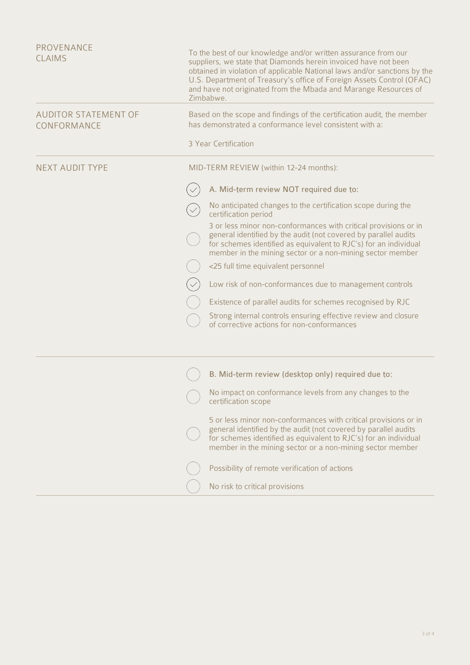| PROVENANCE<br><b>CLAIMS</b>                | To the best of our knowledge and/or written assurance from our<br>suppliers, we state that Diamonds herein invoiced have not been<br>obtained in violation of applicable National laws and/or sanctions by the<br>U.S. Department of Treasury's office of Foreign Assets Control (OFAC)<br>and have not originated from the Mbada and Marange Resources of<br>Zimbabwe. |
|--------------------------------------------|-------------------------------------------------------------------------------------------------------------------------------------------------------------------------------------------------------------------------------------------------------------------------------------------------------------------------------------------------------------------------|
| <b>AUDITOR STATEMENT OF</b><br>CONFORMANCE | Based on the scope and findings of the certification audit, the member<br>has demonstrated a conformance level consistent with a:                                                                                                                                                                                                                                       |
|                                            | 3 Year Certification                                                                                                                                                                                                                                                                                                                                                    |
| <b>NEXT AUDIT TYPE</b>                     | MID-TERM REVIEW (within 12-24 months):                                                                                                                                                                                                                                                                                                                                  |
|                                            | A. Mid-term review NOT required due to:                                                                                                                                                                                                                                                                                                                                 |
|                                            | No anticipated changes to the certification scope during the<br>certification period                                                                                                                                                                                                                                                                                    |
|                                            | 3 or less minor non-conformances with critical provisions or in<br>general identified by the audit (not covered by parallel audits<br>for schemes identified as equivalent to RJC's) for an individual<br>member in the mining sector or a non-mining sector member                                                                                                     |
|                                            | <25 full time equivalent personnel                                                                                                                                                                                                                                                                                                                                      |
|                                            | Low risk of non-conformances due to management controls                                                                                                                                                                                                                                                                                                                 |
|                                            | Existence of parallel audits for schemes recognised by RJC                                                                                                                                                                                                                                                                                                              |
|                                            | Strong internal controls ensuring effective review and closure<br>of corrective actions for non-conformances                                                                                                                                                                                                                                                            |
|                                            | B. Mid-term review (desktop only) required due to:                                                                                                                                                                                                                                                                                                                      |
|                                            | No impact on conformance levels from any changes to the<br>certification scope                                                                                                                                                                                                                                                                                          |
|                                            | 5 or less minor non-conformances with critical provisions or in<br>general identified by the audit (not covered by parallel audits<br>for schemes identified as equivalent to RJC's) for an individual<br>member in the mining sector or a non-mining sector member                                                                                                     |
|                                            | Possibility of remote verification of actions                                                                                                                                                                                                                                                                                                                           |
|                                            | No risk to critical provisions                                                                                                                                                                                                                                                                                                                                          |